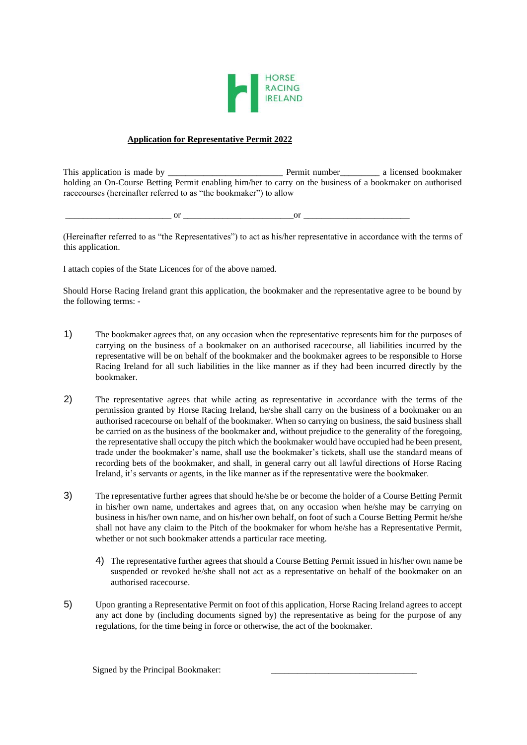

## **Application for Representative Permit 2022**

This application is made by \_\_\_\_\_\_\_\_\_\_\_\_\_\_\_\_\_\_\_\_\_\_\_\_\_\_ Permit number\_\_\_\_\_\_\_\_\_ a licensed bookmaker holding an On-Course Betting Permit enabling him/her to carry on the business of a bookmaker on authorised racecourses (hereinafter referred to as "the bookmaker") to allow

\_\_\_\_\_\_\_\_\_\_\_\_\_\_\_\_\_\_\_\_\_\_\_\_ or \_\_\_\_\_\_\_\_\_\_\_\_\_\_\_\_\_\_\_\_\_\_\_\_\_or \_\_\_\_\_\_\_\_\_\_\_\_\_\_\_\_\_\_\_\_\_\_\_\_

(Hereinafter referred to as "the Representatives") to act as his/her representative in accordance with the terms of this application.

I attach copies of the State Licences for of the above named.

Should Horse Racing Ireland grant this application, the bookmaker and the representative agree to be bound by the following terms: -

- 1) The bookmaker agrees that, on any occasion when the representative represents him for the purposes of carrying on the business of a bookmaker on an authorised racecourse, all liabilities incurred by the representative will be on behalf of the bookmaker and the bookmaker agrees to be responsible to Horse Racing Ireland for all such liabilities in the like manner as if they had been incurred directly by the bookmaker.
- 2) The representative agrees that while acting as representative in accordance with the terms of the permission granted by Horse Racing Ireland, he/she shall carry on the business of a bookmaker on an authorised racecourse on behalf of the bookmaker. When so carrying on business, the said business shall be carried on as the business of the bookmaker and, without prejudice to the generality of the foregoing, the representative shall occupy the pitch which the bookmaker would have occupied had he been present, trade under the bookmaker's name, shall use the bookmaker's tickets, shall use the standard means of recording bets of the bookmaker, and shall, in general carry out all lawful directions of Horse Racing Ireland, it's servants or agents, in the like manner as if the representative were the bookmaker.
- 3) The representative further agrees that should he/she be or become the holder of a Course Betting Permit in his/her own name, undertakes and agrees that, on any occasion when he/she may be carrying on business in his/her own name, and on his/her own behalf, on foot of such a Course Betting Permit he/she shall not have any claim to the Pitch of the bookmaker for whom he/she has a Representative Permit, whether or not such bookmaker attends a particular race meeting.
	- 4) The representative further agrees that should a Course Betting Permit issued in his/her own name be suspended or revoked he/she shall not act as a representative on behalf of the bookmaker on an authorised racecourse.
- 5) Upon granting a Representative Permit on foot of this application, Horse Racing Ireland agrees to accept any act done by (including documents signed by) the representative as being for the purpose of any regulations, for the time being in force or otherwise, the act of the bookmaker.